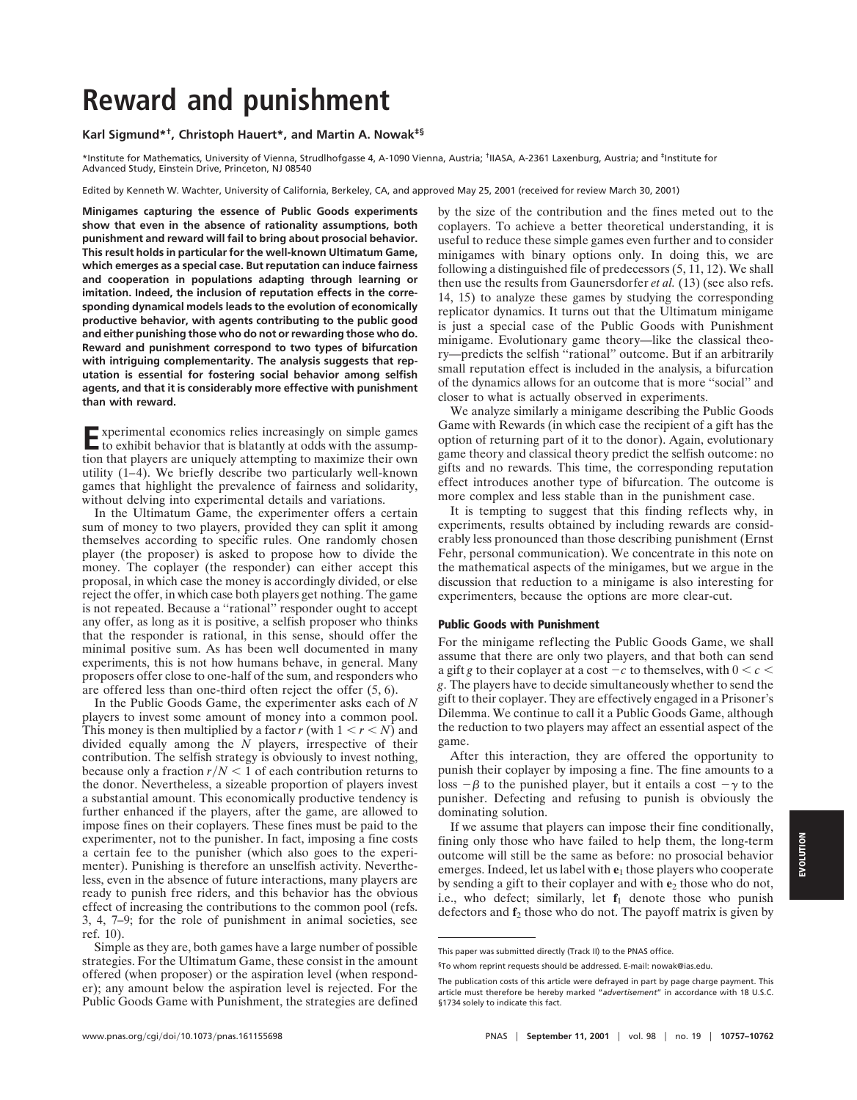# **Reward and punishment**

# **Karl Sigmund\*†, Christoph Hauert\*, and Martin A. Nowak‡§**

\*Institute for Mathematics, University of Vienna, Strudlhofgasse 4, A-1090 Vienna, Austria; †IIASA, A-2361 Laxenburg, Austria; and ‡Institute for Advanced Study, Einstein Drive, Princeton, NJ 08540

Edited by Kenneth W. Wachter, University of California, Berkeley, CA, and approved May 25, 2001 (received for review March 30, 2001)

**Minigames capturing the essence of Public Goods experiments show that even in the absence of rationality assumptions, both punishment and reward will fail to bring about prosocial behavior. This result holds in particular for the well-known Ultimatum Game, which emerges as a special case. But reputation can induce fairness and cooperation in populations adapting through learning or imitation. Indeed, the inclusion of reputation effects in the corresponding dynamical models leads to the evolution of economically productive behavior, with agents contributing to the public good and either punishing those who do not or rewarding those who do. Reward and punishment correspond to two types of bifurcation with intriguing complementarity. The analysis suggests that reputation is essential for fostering social behavior among selfish agents, and that it is considerably more effective with punishment than with reward.**

Experimental economics relies increasingly on simple games to exhibit behavior that is blatantly at odds with the assumption that players are uniquely attempting to maximize their own utility (1–4). We briefly describe two particularly well-known games that highlight the prevalence of fairness and solidarity, without delving into experimental details and variations.

In the Ultimatum Game, the experimenter offers a certain sum of money to two players, provided they can split it among themselves according to specific rules. One randomly chosen player (the proposer) is asked to propose how to divide the money. The coplayer (the responder) can either accept this proposal, in which case the money is accordingly divided, or else reject the offer, in which case both players get nothing. The game is not repeated. Because a ''rational'' responder ought to accept any offer, as long as it is positive, a selfish proposer who thinks that the responder is rational, in this sense, should offer the minimal positive sum. As has been well documented in many experiments, this is not how humans behave, in general. Many proposers offer close to one-half of the sum, and responders who are offered less than one-third often reject the offer  $(5, 6)$ .

In the Public Goods Game, the experimenter asks each of *N* players to invest some amount of money into a common pool. This money is then multiplied by a factor *r* (with  $1 \le r \le N$ ) and divided equally among the *N* players, irrespective of their contribution. The selfish strategy is obviously to invest nothing, because only a fraction  $r/N < 1$  of each contribution returns to the donor. Nevertheless, a sizeable proportion of players invest a substantial amount. This economically productive tendency is further enhanced if the players, after the game, are allowed to impose fines on their coplayers. These fines must be paid to the experimenter, not to the punisher. In fact, imposing a fine costs a certain fee to the punisher (which also goes to the experimenter). Punishing is therefore an unselfish activity. Nevertheless, even in the absence of future interactions, many players are ready to punish free riders, and this behavior has the obvious effect of increasing the contributions to the common pool (refs. 3, 4, 7–9; for the role of punishment in animal societies, see ref. 10).

Simple as they are, both games have a large number of possible strategies. For the Ultimatum Game, these consist in the amount offered (when proposer) or the aspiration level (when responder); any amount below the aspiration level is rejected. For the Public Goods Game with Punishment, the strategies are defined by the size of the contribution and the fines meted out to the coplayers. To achieve a better theoretical understanding, it is useful to reduce these simple games even further and to consider minigames with binary options only. In doing this, we are following a distinguished file of predecessors (5, 11, 12). We shall then use the results from Gaunersdorfer *et al.* (13) (see also refs. 14, 15) to analyze these games by studying the corresponding replicator dynamics. It turns out that the Ultimatum minigame is just a special case of the Public Goods with Punishment minigame. Evolutionary game theory—like the classical theory—predicts the selfish ''rational'' outcome. But if an arbitrarily small reputation effect is included in the analysis, a bifurcation of the dynamics allows for an outcome that is more ''social'' and closer to what is actually observed in experiments.

We analyze similarly a minigame describing the Public Goods Game with Rewards (in which case the recipient of a gift has the option of returning part of it to the donor). Again, evolutionary game theory and classical theory predict the selfish outcome: no gifts and no rewards. This time, the corresponding reputation effect introduces another type of bifurcation. The outcome is more complex and less stable than in the punishment case.

It is tempting to suggest that this finding reflects why, in experiments, results obtained by including rewards are considerably less pronounced than those describing punishment (Ernst Fehr, personal communication). We concentrate in this note on the mathematical aspects of the minigames, but we argue in the discussion that reduction to a minigame is also interesting for experimenters, because the options are more clear-cut.

# **Public Goods with Punishment**

For the minigame reflecting the Public Goods Game, we shall assume that there are only two players, and that both can send a gift *g* to their coplayer at a cost  $-c$  to themselves, with  $0 < c <$ *g*. The players have to decide simultaneously whether to send the gift to their coplayer. They are effectively engaged in a Prisoner's Dilemma. We continue to call it a Public Goods Game, although the reduction to two players may affect an essential aspect of the game.

After this interaction, they are offered the opportunity to punish their coplayer by imposing a fine. The fine amounts to a  $\cos \theta - \beta$  to the punished player, but it entails a cost  $-\gamma$  to the punisher. Defecting and refusing to punish is obviously the dominating solution.

If we assume that players can impose their fine conditionally, fining only those who have failed to help them, the long-term outcome will still be the same as before: no prosocial behavior emerges. Indeed, let us label with **e**<sup>1</sup> those players who cooperate by sending a gift to their coplayer and with  $e_2$  those who do not. i.e., who defect; similarly, let  $f_1$  denote those who punish defectors and **f**<sup>2</sup> those who do not. The payoff matrix is given by

This paper was submitted directly (Track II) to the PNAS office.

<sup>§</sup>To whom reprint requests should be addressed. E-mail: nowak@ias.edu.

The publication costs of this article were defrayed in part by page charge payment. This article must therefore be hereby marked "*advertisement*" in accordance with 18 U.S.C. §1734 solely to indicate this fact.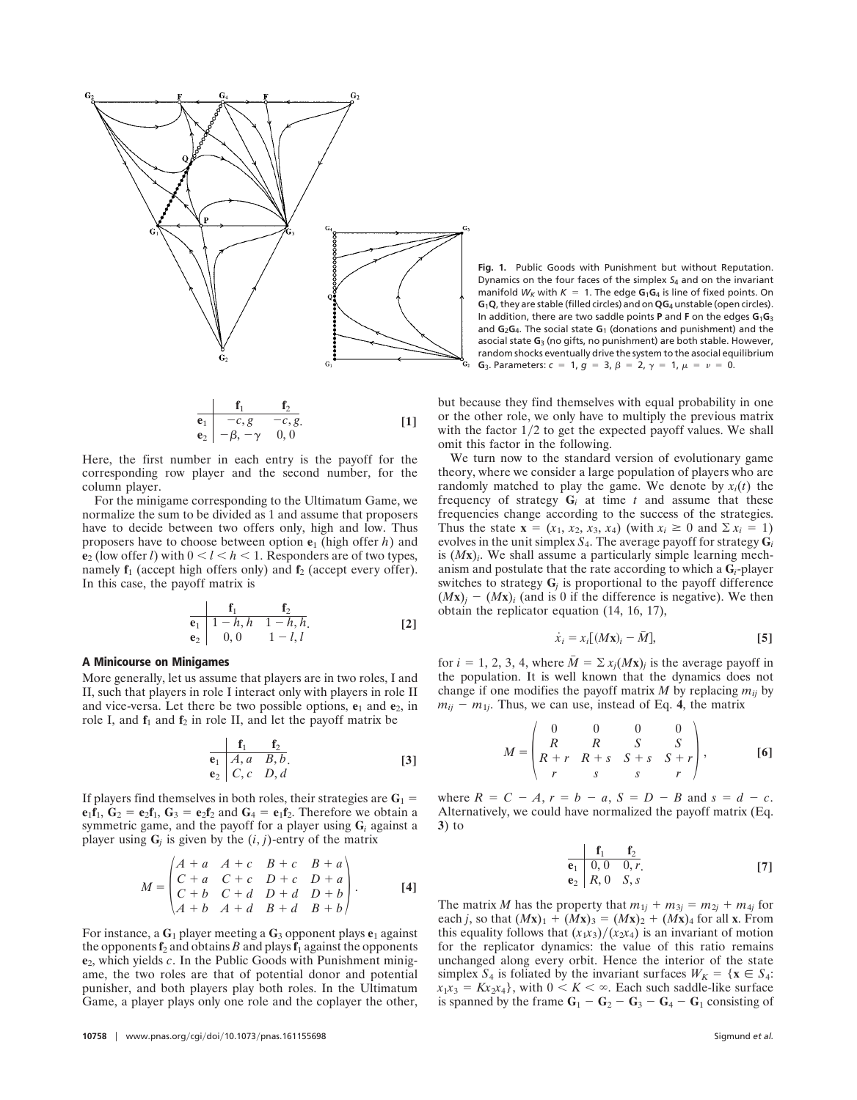

$$
\begin{array}{ccc}\n\mathbf{f}_1 & \mathbf{f}_2 \\
\mathbf{e}_1 & -c, g & -c, g \\
\mathbf{e}_2 & -\beta, -\gamma & 0, 0\n\end{array}
$$
\n[1]

Here, the first number in each entry is the payoff for the corresponding row player and the second number, for the column player.

For the minigame corresponding to the Ultimatum Game, we normalize the sum to be divided as 1 and assume that proposers have to decide between two offers only, high and low. Thus proposers have to choose between option **e**<sup>1</sup> (high offer *h*) and **e**<sub>2</sub> (low offer *l*) with  $0 < l < h < 1$ . Responders are of two types, namely **f**<sub>1</sub> (accept high offers only) and **f**<sub>2</sub> (accept every offer). In this case, the payoff matrix is

$$
\begin{array}{ccc}\n & \mathbf{f}_1 & \mathbf{f}_2 \\
\mathbf{e}_1 & 1-h, h & 1-h, h \\
\mathbf{e}_2 & 0, 0 & 1-l, l\n\end{array}
$$
\n[2]

# **A Minicourse on Minigames**

More generally, let us assume that players are in two roles, I and II, such that players in role I interact only with players in role II and vice-versa. Let there be two possible options,  $e_1$  and  $e_2$ , in role I, and  $f_1$  and  $f_2$  in role II, and let the payoff matrix be

$$
\begin{array}{ccc}\n & \mathbf{f}_1 & \mathbf{f}_2 \\
\hline\n\mathbf{e}_1 & A, a & B, b \\
\mathbf{e}_2 & C, c & D, d\n\end{array}
$$
\n[3]

If players find themselves in both roles, their strategies are  $G_1$  =  $e_1f_1$ ,  $G_2 = e_2f_1$ ,  $G_3 = e_2f_2$  and  $G_4 = e_1f_2$ . Therefore we obtain a symmetric game, and the payoff for a player using **G***<sup>i</sup>* against a player using  $\mathbf{G}_i$  is given by the  $(i, j)$ -entry of the matrix

$$
M = \begin{pmatrix} A+a & A+c & B+c & B+a \\ C+a & C+c & D+c & D+a \\ C+b & C+d & D+d & D+b \\ A+b & A+d & B+d & B+b \end{pmatrix}.
$$
 [4]

For instance, a  $G_1$  player meeting a  $G_3$  opponent plays  $e_1$  against the opponents  $f_2$  and obtains *B* and plays  $f_1$  against the opponents **e**2, which yields *c*. In the Public Goods with Punishment minigame, the two roles are that of potential donor and potential punisher, and both players play both roles. In the Ultimatum Game, a player plays only one role and the coplayer the other,

**Fig. 1.** Public Goods with Punishment but without Reputation. Dynamics on the four faces of the simplex *S*<sup>4</sup> and on the invariant manifold  $W_K$  with  $K = 1$ . The edge  $G_1G_4$  is line of fixed points. On **G**1**Q**, they are stable (filled circles) and on **QG**<sup>4</sup> unstable (open circles). In addition, there are two saddle points **P** and **F** on the edges **G**1**G**<sup>3</sup> and **G**2**G**4. The social state **G**<sup>1</sup> (donations and punishment) and the asocial state **G**<sup>3</sup> (no gifts, no punishment) are both stable. However, random shocks eventually drive the system to the asocial equilibrium **G**<sub>3</sub>. Parameters:  $c = 1$ ,  $g = 3$ ,  $\beta = 2$ ,  $\gamma = 1$ ,  $\mu = \nu = 0$ .

but because they find themselves with equal probability in one or the other role, we only have to multiply the previous matrix with the factor  $1/2$  to get the expected payoff values. We shall omit this factor in the following.

We turn now to the standard version of evolutionary game theory, where we consider a large population of players who are randomly matched to play the game. We denote by  $x_i(t)$  the frequency of strategy  $G_i$  at time  $t$  and assume that these frequencies change according to the success of the strategies. Thus the state  $\mathbf{x} = (x_1, x_2, x_3, x_4)$  (with  $x_i \geq 0$  and  $\Sigma x_i = 1$ ) evolves in the unit simplex  $S_4$ . The average payoff for strategy  $G_i$ is  $(Mx)$ . We shall assume a particularly simple learning mechanism and postulate that the rate according to which a **G***i*-player switches to strategy  $G_j$  is proportional to the payoff difference  $(Mx)$ <sup>*j*</sup> -  $(Mx)$ <sup>*j*</sup> (and is 0 if the difference is negative). We then obtain the replicator equation (14, 16, 17),

$$
\dot{x}_i = x_i [(M\mathbf{x})_i - \bar{M}], \tag{5}
$$

for  $i = 1, 2, 3, 4$ , where  $\overline{M} = \sum x_i (Mx)_i$  is the average payoff in the population. It is well known that the dynamics does not change if one modifies the payoff matrix  $M$  by replacing  $m_{ij}$  by  $m_{ij}$  –  $m_{1j}$ . Thus, we can use, instead of Eq. 4, the matrix

$$
M = \begin{pmatrix} 0 & 0 & 0 & 0 \\ R & R & S & S \\ R+r & R+s & S+s & S+r \\ r & s & s & r \end{pmatrix},
$$
 [6]

where  $R = C - A$ ,  $r = b - a$ ,  $S = D - B$  and  $s = d - c$ . Alternatively, we could have normalized the payoff matrix (Eq. **3**) to

$$
\begin{array}{ccc}\n & \mathbf{f}_1 & \mathbf{f}_2 \\
\mathbf{e}_1 & 0, 0 & 0, r \\
\mathbf{e}_2 & R, 0 & S, s\n\end{array}
$$
\n[7]

The matrix *M* has the property that  $m_{1j} + m_{3j} = m_{2j} + m_{4j}$  for each *j*, so that  $(Mx)_1 + (Mx)_3 = (Mx)_2 + (Mx)_4$  for all **x**. From this equality follows that  $(x_1x_3)/(x_2x_4)$  is an invariant of motion for the replicator dynamics: the value of this ratio remains unchanged along every orbit. Hence the interior of the state simplex  $S_4$  is foliated by the invariant surfaces  $W_K = \{ \mathbf{x} \in S_4 :$  $x_1x_3 = Kx_2x_4$ , with  $0 \le K \le \infty$ . Each such saddle-like surface is spanned by the frame  $G_1 - G_2 - G_3 - G_4 - G_1$  consisting of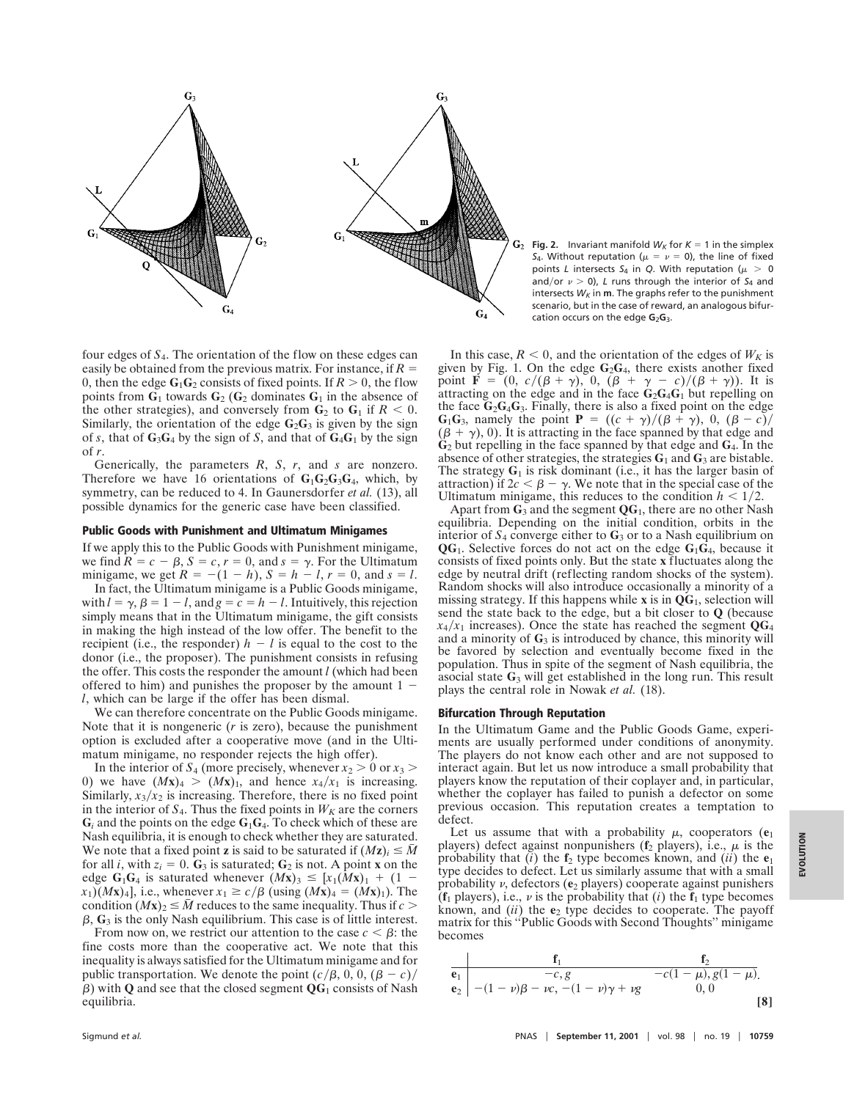

four edges of *S*4. The orientation of the flow on these edges can easily be obtained from the previous matrix. For instance, if  $R =$ 0, then the edge  $\mathbf{G}_1\mathbf{G}_2$  consists of fixed points. If  $R > 0$ , the flow points from  $G_1$  towards  $G_2$  ( $G_2$  dominates  $G_1$  in the absence of the other strategies), and conversely from  $\mathbf{G}_2$  to  $\mathbf{G}_1$  if  $R < 0$ . Similarly, the orientation of the edge  $G_2G_3$  is given by the sign of *s*, that of  $G_3G_4$  by the sign of *S*, and that of  $G_4G_1$  by the sign of *r*.

Generically, the parameters *R*, *S*, *r*, and *s* are nonzero. Therefore we have 16 orientations of  $G_1G_2G_3G_4$ , which, by symmetry, can be reduced to 4. In Gaunersdorfer *et al.* (13), all possible dynamics for the generic case have been classified.

### **Public Goods with Punishment and Ultimatum Minigames**

If we apply this to the Public Goods with Punishment minigame, we find  $R = c - \beta$ ,  $S = c$ ,  $r = 0$ , and  $s = \gamma$ . For the Ultimatum minigame, we get  $R = -(1 - h)$ ,  $S = h - l$ ,  $r = 0$ , and  $s = l$ .

In fact, the Ultimatum minigame is a Public Goods minigame, with  $l = \gamma$ ,  $\beta = 1 - l$ , and  $g = c = h - l$ . Intuitively, this rejection simply means that in the Ultimatum minigame, the gift consists in making the high instead of the low offer. The benefit to the recipient (i.e., the responder)  $h - l$  is equal to the cost to the donor (i.e., the proposer). The punishment consists in refusing the offer. This costs the responder the amount *l* (which had been offered to him) and punishes the proposer by the amount  $1$ *l*, which can be large if the offer has been dismal.

We can therefore concentrate on the Public Goods minigame. Note that it is nongeneric (*r* is zero), because the punishment option is excluded after a cooperative move (and in the Ultimatum minigame, no responder rejects the high offer).

In the interior of  $S_4$  (more precisely, whenever  $x_2 > 0$  or  $x_3 >$ 0) we have  $(Mx)_4 > (Mx)_1$ , and hence  $x_4/x_1$  is increasing. Similarly,  $x_3/x_2$  is increasing. Therefore, there is no fixed point in the interior of  $S_4$ . Thus the fixed points in  $W_K$  are the corners  $G_i$  and the points on the edge  $G_1G_4$ . To check which of these are Nash equilibria, it is enough to check whether they are saturated. We note that a fixed point **z** is said to be saturated if  $(Mz)$ <sup>*i*</sup>  $\leq \bar{M}$ for all *i*, with  $z_i = 0$ .  $\mathbf{G}_3$  is saturated;  $\mathbf{G}_2$  is not. A point **x** on the edge  $G_1G_4$  is saturated whenever  $(Mx)_3 \leq [x_1(Mx)_1 + (1$  $x_1$ )(*M***x**)<sub>4</sub>], i.e., whenever  $x_1 \ge c/\beta$  (using  $(Mx)_4 = (Mx)_1$ ). The condition  $(Mx)_2 \leq M$  reduces to the same inequality. Thus if  $c >$  $\beta$ ,  $\mathbf{G}_3$  is the only Nash equilibrium. This case is of little interest.

From now on, we restrict our attention to the case  $c < \beta$ : the fine costs more than the cooperative act. We note that this inequality is always satisfied for the Ultimatum minigame and for public transportation. We denote the point  $(c/\beta, 0, 0, (\beta - c)/$  $\beta$ ) with **Q** and see that the closed segment **QG**<sub>1</sub> consists of Nash equilibria.

**Fig. 2.** Invariant manifold  $W_K$  for  $K = 1$  in the simplex *S*<sub>4</sub>. Without reputation ( $\mu = \nu = 0$ ), the line of fixed points *L* intersects  $S_4$  in *Q*. With reputation ( $\mu > 0$ and/or  $\nu > 0$ ), *L* runs through the interior of *S*<sub>4</sub> and intersects  $W_K$  in **m**. The graphs refer to the punishment scenario, but in the case of reward, an analogous bifurcation occurs on the edge G<sub>2</sub>G<sub>3</sub>.

In this case,  $R < 0$ , and the orientation of the edges of  $W_K$  is given by Fig. 1. On the edge **G**2**G**4, there exists another fixed point **F** =  $(0, c/(\beta + \gamma), 0, (\beta + \gamma - c)/(\beta + \gamma))$ . It is attracting on the edge and in the face **G**2**G**4**G**<sup>1</sup> but repelling on the face  $G_2G_4G_3$ . Finally, there is also a fixed point on the edge **G**<sub>1</sub>**G**<sub>3</sub>, namely the point **P** =  $((c + \gamma)/(\beta + \gamma), 0, (\beta - c)/\gamma)$  $(\beta + \gamma)$ , 0). It is attracting in the face spanned by that edge and **G**<sup>2</sup> but repelling in the face spanned by that edge and **G**4. In the absence of other strategies, the strategies **G**<sup>1</sup> and **G**<sup>3</sup> are bistable. The strategy  $G_1$  is risk dominant (i.e., it has the larger basin of attraction) if  $2c < \beta - \gamma$ . We note that in the special case of the Ultimatum minigame, this reduces to the condition  $h < 1/2$ .

Apart from  $\mathbf{G}_3$  and the segment  $\mathbf{Q}\mathbf{G}_1$ , there are no other Nash equilibria. Depending on the initial condition, orbits in the interior of  $S_4$  converge either to  $G_3$  or to a Nash equilibrium on **QG**1. Selective forces do not act on the edge **G**1**G**4, because it consists of fixed points only. But the state **x** fluctuates along the edge by neutral drift (reflecting random shocks of the system). Random shocks will also introduce occasionally a minority of a missing strategy. If this happens while **x** is in **QG**1, selection will send the state back to the edge, but a bit closer to **Q** (because  $x_4/x_1$  increases). Once the state has reached the segment  $\mathbf{Q}G_4$ and a minority of **G**<sup>3</sup> is introduced by chance, this minority will be favored by selection and eventually become fixed in the population. Thus in spite of the segment of Nash equilibria, the asocial state  $G_3$  will get established in the long run. This result plays the central role in Nowak *et al.* (18).

## **Bifurcation Through Reputation**

In the Ultimatum Game and the Public Goods Game, experiments are usually performed under conditions of anonymity. The players do not know each other and are not supposed to interact again. But let us now introduce a small probability that players know the reputation of their coplayer and, in particular, whether the coplayer has failed to punish a defector on some previous occasion. This reputation creates a temptation to defect.

Let us assume that with a probability  $\mu$ , cooperators ( $\mathbf{e}_1$ players) defect against nonpunishers ( $f_2$  players), i.e.,  $\mu$  is the probability that  $(i)$  the  $f_2$  type becomes known, and  $(ii)$  the  $e_1$ type decides to defect. Let us similarly assume that with a small probability  $\nu$ , defectors ( $e_2$  players) cooperate against punishers ( $f_1$  players), i.e.,  $\nu$  is the probability that (*i*) the  $f_1$  type becomes known, and (*ii*) the **e**<sup>2</sup> type decides to cooperate. The payoff matrix for this ''Public Goods with Second Thoughts'' minigame becomes

$$
\frac{\mathbf{f}_1}{\mathbf{e}_1}\n\begin{array}{c|c}\n & \mathbf{f}_1 & \mathbf{f}_2 \\
\hline\n-c, g & -c(1-\mu), g(1-\mu), \\
\mathbf{e}_2 & -(1-\nu)\beta - \nu c, -(1-\nu)\gamma + \nu g & 0, 0\n\end{array}
$$
\n[8]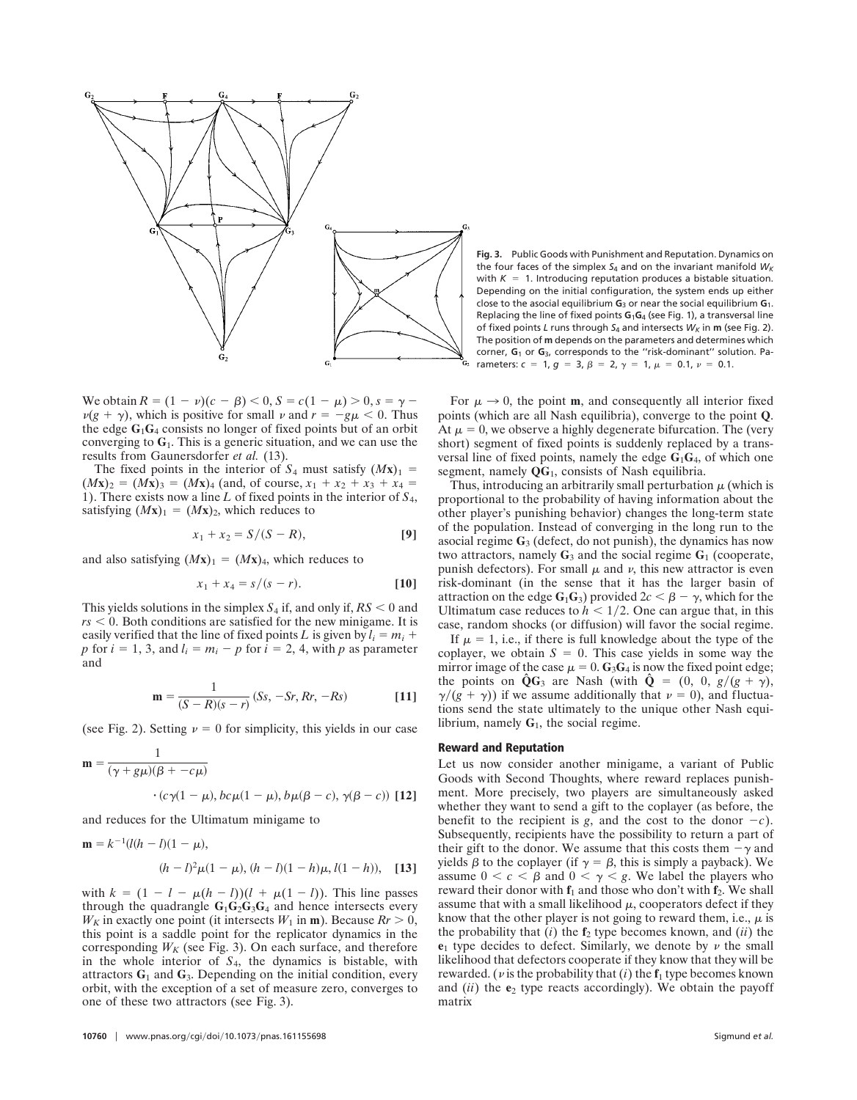

We obtain  $R = (1 - v)(c - \beta) < 0$ ,  $S = c(1 - \mu) > 0$ ,  $s = \gamma - \beta$  $\nu(g + \gamma)$ , which is positive for small  $\nu$  and  $r = -g\mu < 0$ . Thus the edge  $G_1G_4$  consists no longer of fixed points but of an orbit converging to **G**1. This is a generic situation, and we can use the results from Gaunersdorfer *et al.* (13).

The fixed points in the interior of  $S_4$  must satisfy  $(Mx)_1$  =  $(Mx)_2 = (Mx)_3 = (Mx)_4$  (and, of course,  $x_1 + x_2 + x_3 + x_4 =$ 1). There exists now a line *L* of fixed points in the interior of *S*4, satisfying  $(Mx)_1 = (Mx)_2$ , which reduces to

$$
x_1 + x_2 = S/(S - R),
$$
 [9]

and also satisfying  $(Mx)_1 = (Mx)_4$ , which reduces to

$$
x_1 + x_4 = s/(s - r).
$$
 [10]

This yields solutions in the simplex  $S_4$  if, and only if,  $RS < 0$  and  $rs < 0$ . Both conditions are satisfied for the new minigame. It is easily verified that the line of fixed points *L* is given by  $l_i = m_i +$ *p* for  $i = 1, 3$ , and  $l_i = m_i - p$  for  $\hat{i} = 2, 4$ , with *p* as parameter and

$$
\mathbf{m} = \frac{1}{(S - R)(s - r)} (S_s, -S_r, R_r, -Rs)
$$
 [11]

(see Fig. 2). Setting  $\nu = 0$  for simplicity, this yields in our case

$$
\mathbf{m} = \frac{1}{(\gamma + g\mu)(\beta + -c\mu)}
$$
  
•  $(c\gamma(1 - \mu), bc\mu(1 - \mu), b\mu(\beta - c), \gamma(\beta - c))$  [12]

and reduces for the Ultimatum minigame to

$$
\mathbf{m} = k^{-1}(l(h - l)(1 - \mu)),
$$
  
(h - l)<sup>2</sup> $\mu$ (1 - \mu), (h - l)(1 - h)\mu, l(1 - h)), [13]

with  $k = (1 - l - \mu(h - l))(l + \mu(1 - l))$ . This line passes through the quadrangle  $G_1G_2G_3G_4$  and hence intersects every  $W_K$  in exactly one point (it intersects  $W_1$  in **m**). Because  $R_r > 0$ , this point is a saddle point for the replicator dynamics in the corresponding  $W_K$  (see Fig. 3). On each surface, and therefore in the whole interior of *S*4, the dynamics is bistable, with attractors  $G_1$  and  $G_3$ . Depending on the initial condition, every orbit, with the exception of a set of measure zero, converges to one of these two attractors (see Fig. 3).

**Fig. 3.** Public Goods with Punishment and Reputation. Dynamics on the four faces of the simplex *S*<sup>4</sup> and on the invariant manifold *WK* with  $K = 1$ . Introducing reputation produces a bistable situation. Depending on the initial configuration, the system ends up either close to the asocial equilibrium **G**<sup>3</sup> or near the social equilibrium **G**1. Replacing the line of fixed points **G**1**G**<sup>4</sup> (see Fig. 1), a transversal line of fixed points *L* runs through  $S_4$  and intersects  $W_K$  in **m** (see Fig. 2). The position of **m** depends on the parameters and determines which corner, **G**<sup>1</sup> or **G**3, corresponds to the ''risk-dominant'' solution. Parameters:  $c = 1$ ,  $g = 3$ ,  $\beta = 2$ ,  $\gamma = 1$ ,  $\mu = 0.1$ ,  $\nu = 0.1$ .

For  $\mu \rightarrow 0$ , the point **m**, and consequently all interior fixed points (which are all Nash equilibria), converge to the point **Q**. At  $\mu = 0$ , we observe a highly degenerate bifurcation. The (very short) segment of fixed points is suddenly replaced by a transversal line of fixed points, namely the edge **G**1**G**4, of which one segment, namely **QG**1, consists of Nash equilibria.

Thus, introducing an arbitrarily small perturbation  $\mu$  (which is proportional to the probability of having information about the other player's punishing behavior) changes the long-term state of the population. Instead of converging in the long run to the asocial regime **G**<sup>3</sup> (defect, do not punish), the dynamics has now two attractors, namely  $G_3$  and the social regime  $G_1$  (cooperate, punish defectors). For small  $\mu$  and  $\nu$ , this new attractor is even risk-dominant (in the sense that it has the larger basin of attraction on the edge  $G_1G_3$ ) provided  $2c < \beta - \gamma$ , which for the Ultimatum case reduces to  $h < 1/2$ . One can argue that, in this case, random shocks (or diffusion) will favor the social regime.

If  $\mu = 1$ , i.e., if there is full knowledge about the type of the coplayer, we obtain  $S = 0$ . This case yields in some way the mirror image of the case  $\mu = 0$ . **G**<sub>3</sub>**G**<sub>4</sub> is now the fixed point edge; the points on  $\hat{\mathbf{Q}}\mathbf{G}_3$  are Nash (with  $\hat{\mathbf{Q}} = (0, 0, g/(g + \gamma))$ ,  $\gamma/(g + \gamma)$ ) if we assume additionally that  $\nu = 0$ ), and fluctuations send the state ultimately to the unique other Nash equilibrium, namely **G**1, the social regime.

#### **Reward and Reputation**

Let us now consider another minigame, a variant of Public Goods with Second Thoughts, where reward replaces punishment. More precisely, two players are simultaneously asked whether they want to send a gift to the coplayer (as before, the benefit to the recipient is *g*, and the cost to the donor  $-c$ ). Subsequently, recipients have the possibility to return a part of their gift to the donor. We assume that this costs them  $-\gamma$  and yields  $\beta$  to the coplayer (if  $\gamma = \beta$ , this is simply a payback). We assume  $0 < c < \beta$  and  $0 < \gamma < g$ . We label the players who reward their donor with  $f_1$  and those who don't with  $f_2$ . We shall assume that with a small likelihood  $\mu$ , cooperators defect if they know that the other player is not going to reward them, i.e.,  $\mu$  is the probability that  $(i)$  the  $f_2$  type becomes known, and  $(ii)$  the  $e_1$  type decides to defect. Similarly, we denote by  $\nu$  the small likelihood that defectors cooperate if they know that they will be rewarded. ( $\nu$  is the probability that (*i*) the  $f_1$  type becomes known and (*ii*) the **e**<sup>2</sup> type reacts accordingly). We obtain the payoff matrix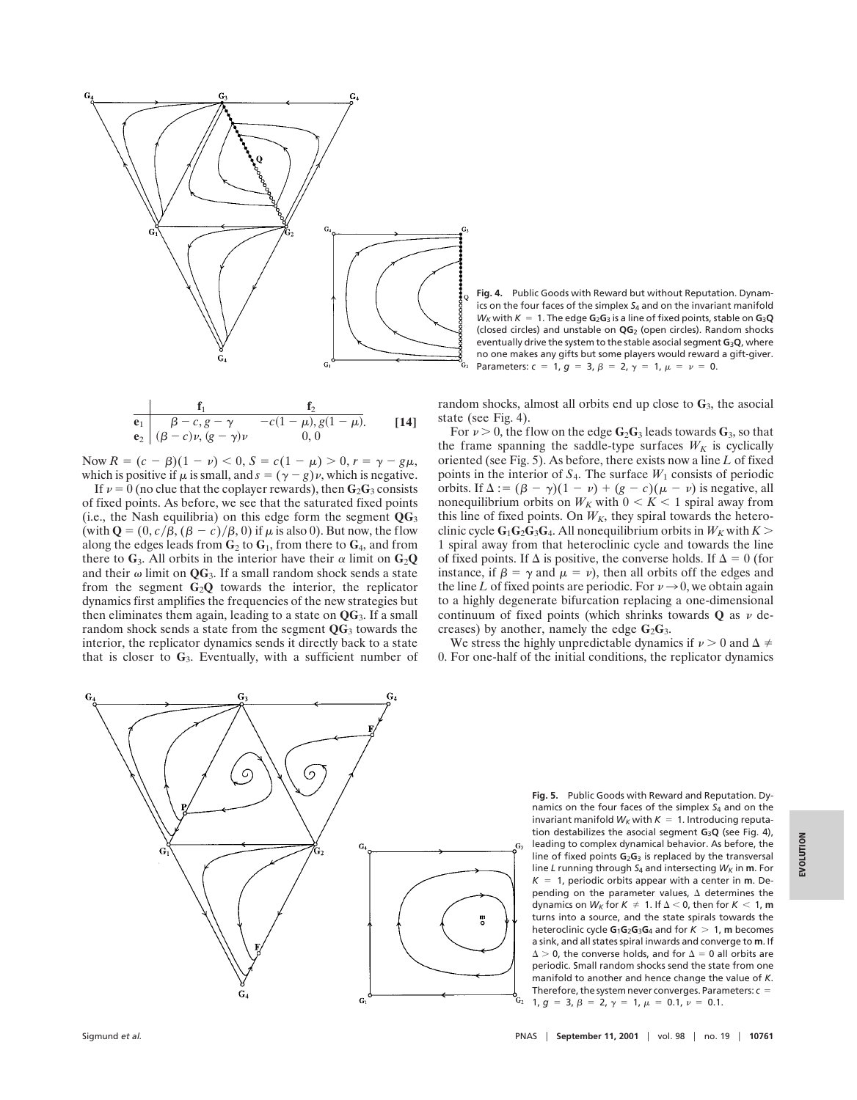

**Fig. 4.** Public Goods with Reward but without Reputation. Dynamics on the four faces of the simplex *S*<sup>4</sup> and on the invariant manifold  $W_K$  with  $K = 1$ . The edge  $G_2G_3$  is a line of fixed points, stable on  $G_3Q$ (closed circles) and unstable on **QG**<sup>2</sup> (open circles). Random shocks eventually drive the system to the stable asocial segment **G**3**Q**, where no one makes any gifts but some players would reward a gift-giver. Parameters:  $c = 1$ ,  $g = 3$ ,  $\beta = 2$ ,  $\gamma = 1$ ,  $\mu = \nu = 0$ .

$$
\begin{array}{c|cc}\n & f_1 & f_2 \\
\hline\n\mathbf{e}_1 & \beta - c, g - \gamma & -c(1 - \mu), g(1 - \mu). \\
\mathbf{e}_2 & (\beta - c)\nu, (g - \gamma)\nu & 0, 0\n\end{array} \qquad \qquad [14]
$$

Now  $R = (c - \beta)(1 - \nu) < 0, S = c(1 - \mu) > 0, r = \gamma - g\mu$ , which is positive if  $\mu$  is small, and  $s = (\gamma - g)\nu$ , which is negative.

If  $v = 0$  (no clue that the coplayer rewards), then  $\mathbf{G}_2\mathbf{G}_3$  consists of fixed points. As before, we see that the saturated fixed points (i.e., the Nash equilibria) on this edge form the segment **QG**<sup>3</sup> (with  $\mathbf{Q} = (0, c/\beta, (\beta - c)/\beta, 0)$  if  $\mu$  is also 0). But now, the flow along the edges leads from  $\mathbf{G}_2$  to  $\mathbf{G}_1$ , from there to  $\mathbf{G}_4$ , and from there to  $G_3$ . All orbits in the interior have their  $\alpha$  limit on  $G_2Q$ and their  $\omega$  limit on  $\mathbf{Q}G_3$ . If a small random shock sends a state from the segment  $G_2$ **Q** towards the interior, the replicator dynamics first amplifies the frequencies of the new strategies but then eliminates them again, leading to a state on **QG**3. If a small random shock sends a state from the segment **QG**<sup>3</sup> towards the interior, the replicator dynamics sends it directly back to a state that is closer to **G**3. Eventually, with a sufficient number of random shocks, almost all orbits end up close to **G**3, the asocial state (see Fig. 4).

For  $\nu > 0$ , the flow on the edge  $\mathbf{G}_2\mathbf{G}_3$  leads towards  $\mathbf{G}_3$ , so that the frame spanning the saddle-type surfaces  $W_K$  is cyclically oriented (see Fig. 5). As before, there exists now a line *L* of fixed points in the interior of  $S_4$ . The surface  $W_1$  consists of periodic orbits. If  $\Delta$  : =  $(\beta - \gamma)(1 - \nu) + (g - c)(\mu - \nu)$  is negative, all nonequilibrium orbits on  $W_K$  with  $0 \lt K \lt 1$  spiral away from this line of fixed points. On  $W_K$ , they spiral towards the heteroclinic cycle  $G_1G_2G_3G_4$ . All nonequilibrium orbits in  $W_K$  with  $K >$ 1 spiral away from that heteroclinic cycle and towards the line of fixed points. If  $\Delta$  is positive, the converse holds. If  $\Delta = 0$  (for instance, if  $\beta = \gamma$  and  $\mu = \nu$ ), then all orbits off the edges and the line *L* of fixed points are periodic. For  $\nu \rightarrow 0$ , we obtain again to a highly degenerate bifurcation replacing a one-dimensional continuum of fixed points (which shrinks towards  $Q$  as  $\nu$  decreases) by another, namely the edge  $G_2G_3$ .

We stress the highly unpredictable dynamics if  $\nu > 0$  and  $\Delta \neq$ 0. For one-half of the initial conditions, the replicator dynamics



**Fig. 5.** Public Goods with Reward and Reputation. Dynamics on the four faces of the simplex *S*<sup>4</sup> and on the invariant manifold  $W_K$  with  $K = 1$ . Introducing reputation destabilizes the asocial segment **G**3**Q** (see Fig. 4), leading to complex dynamical behavior. As before, the line of fixed points **G**2**G**<sup>3</sup> is replaced by the transversal line *L* running through *S*<sub>4</sub> and intersecting *W<sub>K</sub>* in **m**. For  $K = 1$ , periodic orbits appear with a center in **m**. Depending on the parameter values.  $\Delta$  determines the dynamics on  $W_K$  for  $K \neq 1$ . If  $\Delta < 0$ , then for  $K < 1$ , m turns into a source, and the state spirals towards the heteroclinic cycle  $G_1G_2G_3G_4$  and for  $K > 1$ , m becomes a sink, and all states spiral inwards and converge to **m**. If  $\Delta > 0$ , the converse holds, and for  $\Delta = 0$  all orbits are periodic. Small random shocks send the state from one manifold to another and hence change the value of *K*. Therefore, the system never converges. Parameters:  $c =$  $1, g = 3, \beta = 2, \gamma = 1, \mu = 0.1, \nu = 0.1.$